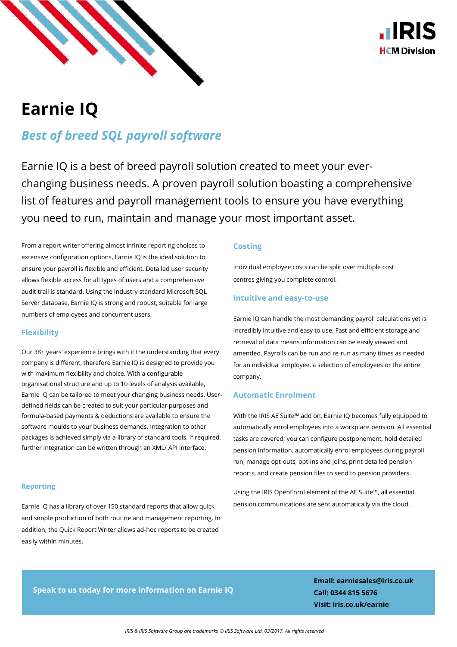



# **Earnie IQ**

*Best of breed SQL payroll software*

Earnie IQ is a best of breed payroll solution created to meet your everchanging business needs. A proven payroll solution boasting a comprehensive list of features and payroll management tools to ensure you have everything you need to run, maintain and manage your most important asset.

From a report writer offering almost infinite reporting choices to extensive configuration options, Earnie IQ is the ideal solution to ensure your payroll is flexible and efficient. Detailed user security allows flexible access for all types of users and a comprehensive audit trail is standard. Using the industry standard Microsoft SQL Server database, Earnie IQ is strong and robust, suitable for large numbers of employees and concurrent users.

### **Flexibility**

Our 38+ years' experience brings with it the understanding that every company is different, therefore Earnie IQ is designed to provide you with maximum flexibility and choice. With a configurable organisational structure and up to 10 levels of analysis available, Earnie IQ can be tailored to meet your changing business needs. Userdefined fields can be created to suit your particular purposes and formula-based payments & deductions are available to ensure the software moulds to your business demands. Integration to other packages is achieved simply via a library of standard tools. If required, further integration can be written through an XML/ API interface.

### **Reporting**

Earnie IQ has a library of over 150 standard reports that allow quick and simple production of both routine and management reporting. In addition, the Quick Report Writer allows ad-hoc reports to be created easily within minutes.

### **Costing**

Individual employee costs can be split over multiple cost centres giving you complete control.

### **Intuitive and easy-to-use**

Earnie IQ can handle the most demanding payroll calculations yet is incredibly intuitive and easy to use. Fast and efficient storage and retrieval of data means information can be easily viewed and amended. Payrolls can be run and re-run as many times as needed for an individual employee, a selection of employees or the entire company.

### **Automatic Enrolment**

With the IRIS AE Suite™ add on, Earnie IQ becomes fully equipped to automatically enrol employees into a workplace pension. All essential tasks are covered; you can configure postponement, hold detailed pension information, automatically enrol employees during payroll run, manage opt-outs, opt-ins and joins, print detailed pension reports, and create pension files to send to pension providers.

Using the IRIS OpenEnrol element of the AE Suite™, all essential pension communications are sent automatically via the cloud.

# **Speak to us today for more information on Earnie IQ**

**Email: earniesales@iris.co.uk Call: 0344 815 5676 Visit: iris.co.uk/earnie**